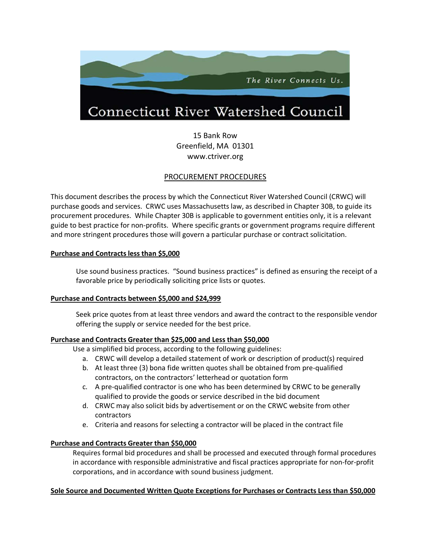

15 Bank Row Greenfield, MA 01301 [www.ctriver.org](http://www.ctriver.org/)

# PROCUREMENT PROCEDURES

This document describes the process by which the Connecticut River Watershed Council (CRWC) will purchase goods and services. CRWC uses Massachusetts law, as described in Chapter 30B, to guide its procurement procedures. While Chapter 30B is applicable to government entities only, it is a relevant guide to best practice for non-profits. Where specific grants or government programs require different and more stringent procedures those will govern a particular purchase or contract solicitation.

## **Purchase and Contracts less than \$5,000**

Use sound business practices. "Sound business practices" is defined as ensuring the receipt of a favorable price by periodically soliciting price lists or quotes.

## **Purchase and Contracts between \$5,000 and \$24,999**

Seek price quotes from at least three vendors and award the contract to the responsible vendor offering the supply or service needed for the best price.

## **Purchase and Contracts Greater than \$25,000 and Less than \$50,000**

Use a simplified bid process, according to the following guidelines:

- a. CRWC will develop a detailed statement of work or description of product(s) required
- b. At least three (3) bona fide written quotes shall be obtained from pre-qualified contractors, on the contractors' letterhead or quotation form
- c. A pre-qualified contractor is one who has been determined by CRWC to be generally qualified to provide the goods or service described in the bid document
- d. CRWC may also solicit bids by advertisement or on the CRWC website from other contractors
- e. Criteria and reasons for selecting a contractor will be placed in the contract file

## **Purchase and Contracts Greater than \$50,000**

Requires formal bid procedures and shall be processed and executed through formal procedures in accordance with responsible administrative and fiscal practices appropriate for non-for-profit corporations, and in accordance with sound business judgment.

## **Sole Source and Documented Written Quote Exceptions for Purchases or Contracts Less than \$50,000**